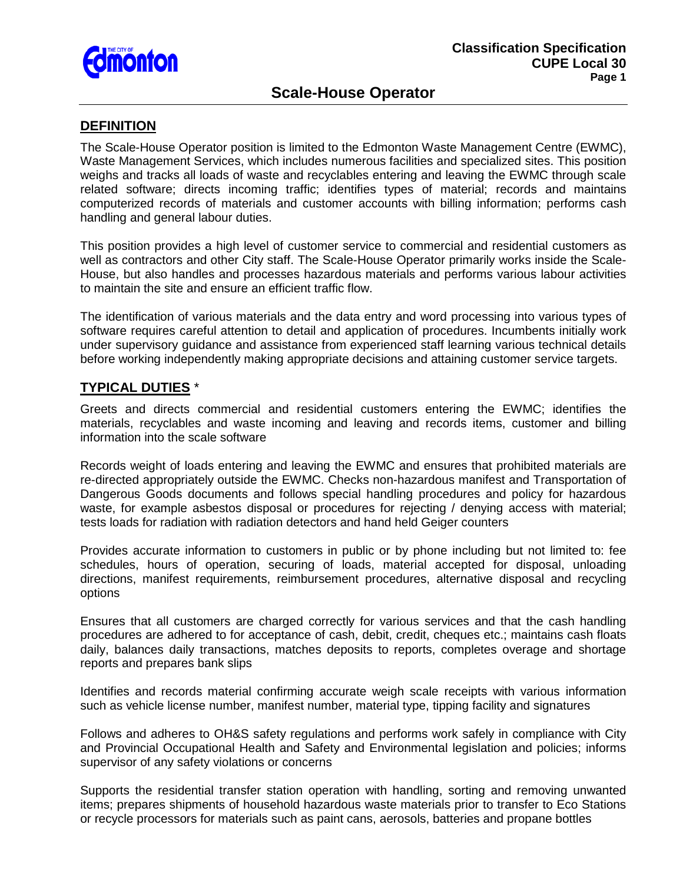

# **Scale-House Operator**

### **DEFINITION**

The Scale-House Operator position is limited to the Edmonton Waste Management Centre (EWMC), Waste Management Services, which includes numerous facilities and specialized sites. This position weighs and tracks all loads of waste and recyclables entering and leaving the EWMC through scale related software; directs incoming traffic; identifies types of material; records and maintains computerized records of materials and customer accounts with billing information; performs cash handling and general labour duties.

This position provides a high level of customer service to commercial and residential customers as well as contractors and other City staff. The Scale-House Operator primarily works inside the Scale-House, but also handles and processes hazardous materials and performs various labour activities to maintain the site and ensure an efficient traffic flow.

The identification of various materials and the data entry and word processing into various types of software requires careful attention to detail and application of procedures. Incumbents initially work under supervisory guidance and assistance from experienced staff learning various technical details before working independently making appropriate decisions and attaining customer service targets.

# **TYPICAL DUTIES** \*

Greets and directs commercial and residential customers entering the EWMC; identifies the materials, recyclables and waste incoming and leaving and records items, customer and billing information into the scale software

Records weight of loads entering and leaving the EWMC and ensures that prohibited materials are re-directed appropriately outside the EWMC. Checks non-hazardous manifest and Transportation of Dangerous Goods documents and follows special handling procedures and policy for hazardous waste, for example asbestos disposal or procedures for rejecting / denying access with material; tests loads for radiation with radiation detectors and hand held Geiger counters

Provides accurate information to customers in public or by phone including but not limited to: fee schedules, hours of operation, securing of loads, material accepted for disposal, unloading directions, manifest requirements, reimbursement procedures, alternative disposal and recycling options

Ensures that all customers are charged correctly for various services and that the cash handling procedures are adhered to for acceptance of cash, debit, credit, cheques etc.; maintains cash floats daily, balances daily transactions, matches deposits to reports, completes overage and shortage reports and prepares bank slips

Identifies and records material confirming accurate weigh scale receipts with various information such as vehicle license number, manifest number, material type, tipping facility and signatures

Follows and adheres to OH&S safety regulations and performs work safely in compliance with City and Provincial Occupational Health and Safety and Environmental legislation and policies; informs supervisor of any safety violations or concerns

Supports the residential transfer station operation with handling, sorting and removing unwanted items; prepares shipments of household hazardous waste materials prior to transfer to Eco Stations or recycle processors for materials such as paint cans, aerosols, batteries and propane bottles